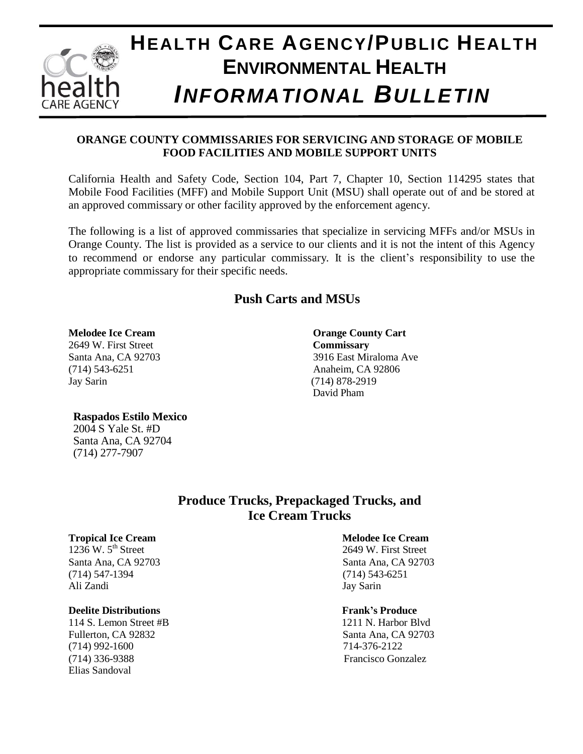

## **ORANGE COUNTY COMMISSARIES FOR SERVICING AND STORAGE OF MOBILE FOOD FACILITIES AND MOBILE SUPPORT UNITS**

California Health and Safety Code, Section 104, Part 7, Chapter 10, Section 114295 states that Mobile Food Facilities (MFF) and Mobile Support Unit (MSU) shall operate out of and be stored at an approved commissary or other facility approved by the enforcement agency.

The following is a list of approved commissaries that specialize in servicing MFFs and/or MSUs in Orange County. The list is provided as a service to our clients and it is not the intent of this Agency to recommend or endorse any particular commissary. It is the client's responsibility to use the appropriate commissary for their specific needs.

# **Push Carts and MSUs**

### **Melodee Ice Cream Orange County Cart**

2649 W. First Street **Commissary** (714) 543-6251 Anaheim, CA 92806 Jay Sarin (714) 878-2919

Santa Ana, CA 92703 3916 East Miraloma Ave David Pham

### **Raspados Estilo Mexico**

2004 S Yale St. #D Santa Ana, CA 92704 (714) 277-7907

> **Produce Trucks, Prepackaged Trucks, and Ice Cream Trucks**

### **Tropical Ice Cream Melodee Ice Cream**

 $1236$  W.  $5<sup>th</sup>$  Street (714) 547-1394 (714) 543-6251 Ali Zandi Jay Sarin

### **Deelite Distributions The Contract of the Contract of Trank's Produce**

114 S. Lemon Street #B 1211 N. Harbor Blvd Fullerton, CA 92832 Santa Ana, CA 92703 (714) 992-1600 714-376-2122 (714) 336-9388 Francisco Gonzalez Elias Sandoval

2649 W. First Street Santa Ana, CA 92703 Santa Ana, CA 92703